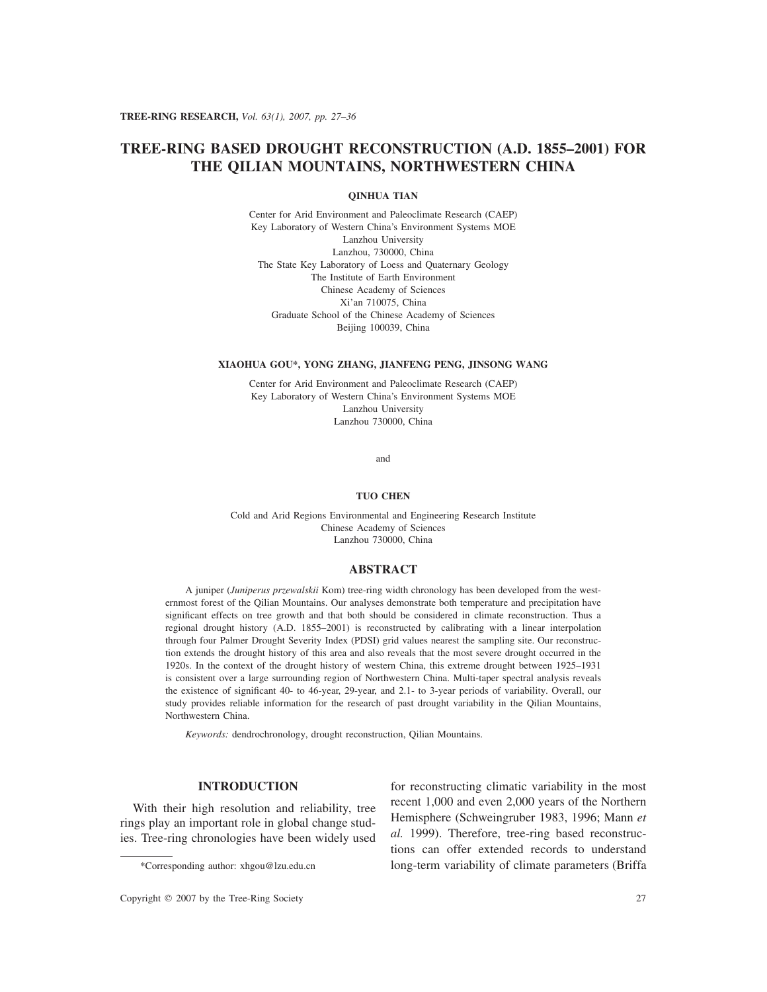# **TREE-RING BASED DROUGHT RECONSTRUCTION (A.D. 1855–2001) FOR THE QILIAN MOUNTAINS, NORTHWESTERN CHINA**

## **QINHUA TIAN**

Center for Arid Environment and Paleoclimate Research (CAEP) Key Laboratory of Western China's Environment Systems MOE Lanzhou University Lanzhou, 730000, China The State Key Laboratory of Loess and Quaternary Geology The Institute of Earth Environment Chinese Academy of Sciences Xi'an 710075, China Graduate School of the Chinese Academy of Sciences Beijing 100039, China

#### **XIAOHUA GOU\*, YONG ZHANG, JIANFENG PENG, JINSONG WANG**

Center for Arid Environment and Paleoclimate Research (CAEP) Key Laboratory of Western China's Environment Systems MOE Lanzhou University Lanzhou 730000, China

and

#### **TUO CHEN**

Cold and Arid Regions Environmental and Engineering Research Institute Chinese Academy of Sciences Lanzhou 730000, China

#### **ABSTRACT**

A juniper (*Juniperus przewalskii* Kom) tree-ring width chronology has been developed from the westernmost forest of the Qilian Mountains. Our analyses demonstrate both temperature and precipitation have significant effects on tree growth and that both should be considered in climate reconstruction. Thus a regional drought history (A.D. 1855–2001) is reconstructed by calibrating with a linear interpolation through four Palmer Drought Severity Index (PDSI) grid values nearest the sampling site. Our reconstruction extends the drought history of this area and also reveals that the most severe drought occurred in the 1920s. In the context of the drought history of western China, this extreme drought between 1925–1931 is consistent over a large surrounding region of Northwestern China. Multi-taper spectral analysis reveals the existence of significant 40- to 46-year, 29-year, and 2.1- to 3-year periods of variability. Overall, our study provides reliable information for the research of past drought variability in the Qilian Mountains, Northwestern China.

*Keywords:* dendrochronology, drought reconstruction, Qilian Mountains.

# **INTRODUCTION**

With their high resolution and reliability, tree rings play an important role in global change studies. Tree-ring chronologies have been widely used

for reconstructing climatic variability in the most recent 1,000 and even 2,000 years of the Northern Hemisphere (Schweingruber 1983, 1996; Mann *et al.* 1999). Therefore, tree-ring based reconstructions can offer extended records to understand long-term variability of climate parameters (Briffa

<sup>\*</sup>Corresponding author: xhgou@lzu.edu.cn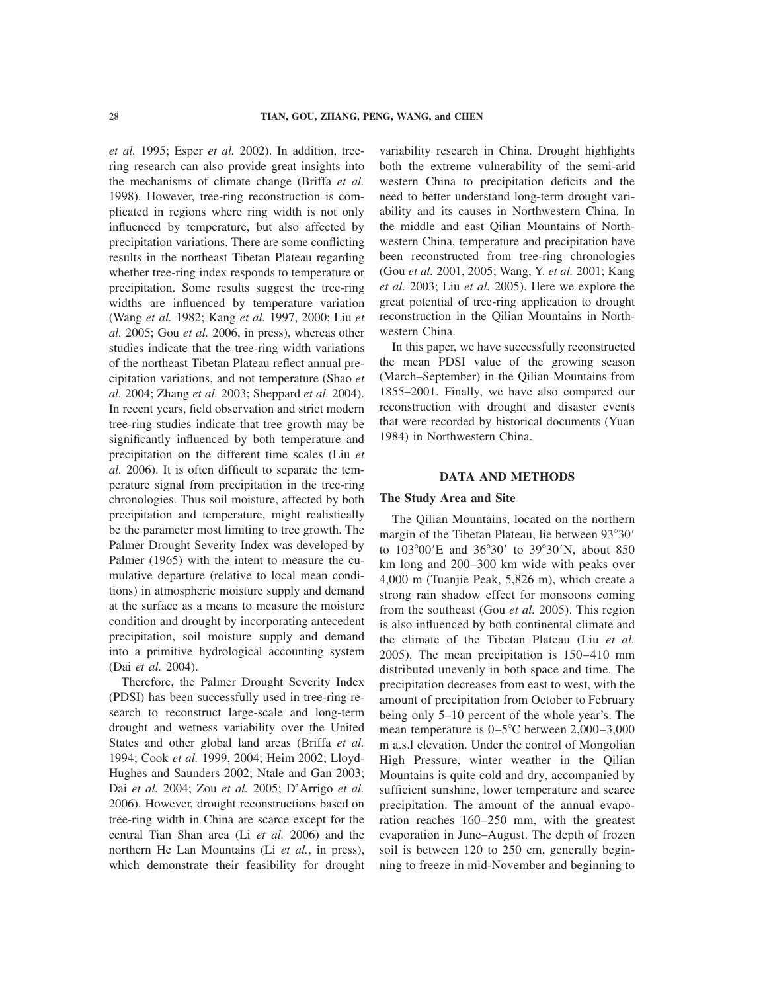*et al.* 1995; Esper *et al.* 2002). In addition, treering research can also provide great insights into the mechanisms of climate change (Briffa *et al.* 1998). However, tree-ring reconstruction is complicated in regions where ring width is not only influenced by temperature, but also affected by precipitation variations. There are some conflicting results in the northeast Tibetan Plateau regarding whether tree-ring index responds to temperature or precipitation. Some results suggest the tree-ring widths are influenced by temperature variation (Wang *et al.* 1982; Kang *et al.* 1997, 2000; Liu *et al.* 2005; Gou *et al.* 2006, in press), whereas other studies indicate that the tree-ring width variations of the northeast Tibetan Plateau reflect annual precipitation variations, and not temperature (Shao *et al.* 2004; Zhang *et al.* 2003; Sheppard *et al.* 2004). In recent years, field observation and strict modern tree-ring studies indicate that tree growth may be significantly influenced by both temperature and precipitation on the different time scales (Liu *et al.* 2006). It is often difficult to separate the temperature signal from precipitation in the tree-ring chronologies. Thus soil moisture, affected by both precipitation and temperature, might realistically be the parameter most limiting to tree growth. The Palmer Drought Severity Index was developed by Palmer (1965) with the intent to measure the cumulative departure (relative to local mean conditions) in atmospheric moisture supply and demand at the surface as a means to measure the moisture condition and drought by incorporating antecedent precipitation, soil moisture supply and demand into a primitive hydrological accounting system (Dai *et al.* 2004).

Therefore, the Palmer Drought Severity Index (PDSI) has been successfully used in tree-ring research to reconstruct large-scale and long-term drought and wetness variability over the United States and other global land areas (Briffa *et al.* 1994; Cook *et al.* 1999, 2004; Heim 2002; Lloyd-Hughes and Saunders 2002; Ntale and Gan 2003; Dai *et al.* 2004; Zou *et al.* 2005; D'Arrigo *et al.* 2006). However, drought reconstructions based on tree-ring width in China are scarce except for the central Tian Shan area (Li *et al.* 2006) and the northern He Lan Mountains (Li *et al.*, in press), which demonstrate their feasibility for drought

variability research in China. Drought highlights both the extreme vulnerability of the semi-arid western China to precipitation deficits and the need to better understand long-term drought variability and its causes in Northwestern China. In the middle and east Qilian Mountains of Northwestern China, temperature and precipitation have been reconstructed from tree-ring chronologies (Gou *et al.* 2001, 2005; Wang, Y. *et al.* 2001; Kang *et al.* 2003; Liu *et al.* 2005). Here we explore the great potential of tree-ring application to drought reconstruction in the Qilian Mountains in Northwestern China.

In this paper, we have successfully reconstructed the mean PDSI value of the growing season (March–September) in the Qilian Mountains from 1855–2001. Finally, we have also compared our reconstruction with drought and disaster events that were recorded by historical documents (Yuan 1984) in Northwestern China.

## **DATA AND METHODS**

#### **The Study Area and Site**

The Qilian Mountains, located on the northern margin of the Tibetan Plateau, lie between 93°30' to 103°00′E and 36°30′ to 39°30′N, about 850 km long and 200–300 km wide with peaks over 4,000 m (Tuanjie Peak, 5,826 m), which create a strong rain shadow effect for monsoons coming from the southeast (Gou *et al.* 2005). This region is also influenced by both continental climate and the climate of the Tibetan Plateau (Liu *et al.* 2005). The mean precipitation is 150–410 mm distributed unevenly in both space and time. The precipitation decreases from east to west, with the amount of precipitation from October to February being only 5–10 percent of the whole year's. The mean temperature is  $0-5^{\circ}$ C between 2,000-3,000 m a.s.l elevation. Under the control of Mongolian High Pressure, winter weather in the Qilian Mountains is quite cold and dry, accompanied by sufficient sunshine, lower temperature and scarce precipitation. The amount of the annual evaporation reaches 160–250 mm, with the greatest evaporation in June–August. The depth of frozen soil is between 120 to 250 cm, generally beginning to freeze in mid-November and beginning to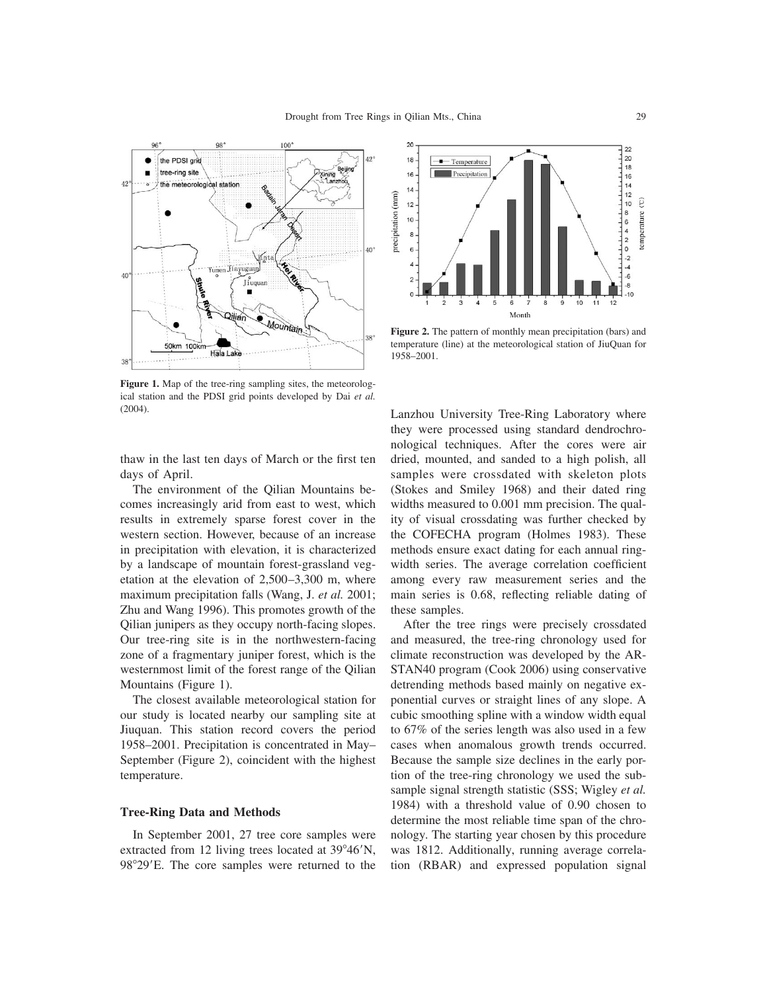

Figure 1. Map of the tree-ring sampling sites, the meteorological station and the PDSI grid points developed by Dai *et al.* (2004).

thaw in the last ten days of March or the first ten days of April.

The environment of the Qilian Mountains becomes increasingly arid from east to west, which results in extremely sparse forest cover in the western section. However, because of an increase in precipitation with elevation, it is characterized by a landscape of mountain forest-grassland vegetation at the elevation of 2,500–3,300 m, where maximum precipitation falls (Wang, J. *et al.* 2001; Zhu and Wang 1996). This promotes growth of the Qilian junipers as they occupy north-facing slopes. Our tree-ring site is in the northwestern-facing zone of a fragmentary juniper forest, which is the westernmost limit of the forest range of the Qilian Mountains (Figure 1).

The closest available meteorological station for our study is located nearby our sampling site at Jiuquan. This station record covers the period 1958–2001. Precipitation is concentrated in May– September (Figure 2), coincident with the highest temperature.

## **Tree-Ring Data and Methods**

In September 2001, 27 tree core samples were extracted from 12 living trees located at 39°46'N, 98°29'E. The core samples were returned to the



**Figure 2.** The pattern of monthly mean precipitation (bars) and temperature (line) at the meteorological station of JiuQuan for 1958–2001.

Lanzhou University Tree-Ring Laboratory where they were processed using standard dendrochronological techniques. After the cores were air dried, mounted, and sanded to a high polish, all samples were crossdated with skeleton plots (Stokes and Smiley 1968) and their dated ring widths measured to 0.001 mm precision. The quality of visual crossdating was further checked by the COFECHA program (Holmes 1983). These methods ensure exact dating for each annual ringwidth series. The average correlation coefficient among every raw measurement series and the main series is 0.68, reflecting reliable dating of these samples.

After the tree rings were precisely crossdated and measured, the tree-ring chronology used for climate reconstruction was developed by the AR-STAN40 program (Cook 2006) using conservative detrending methods based mainly on negative exponential curves or straight lines of any slope. A cubic smoothing spline with a window width equal to 67% of the series length was also used in a few cases when anomalous growth trends occurred. Because the sample size declines in the early portion of the tree-ring chronology we used the subsample signal strength statistic (SSS; Wigley *et al.* 1984) with a threshold value of 0.90 chosen to determine the most reliable time span of the chronology. The starting year chosen by this procedure was 1812. Additionally, running average correlation (RBAR) and expressed population signal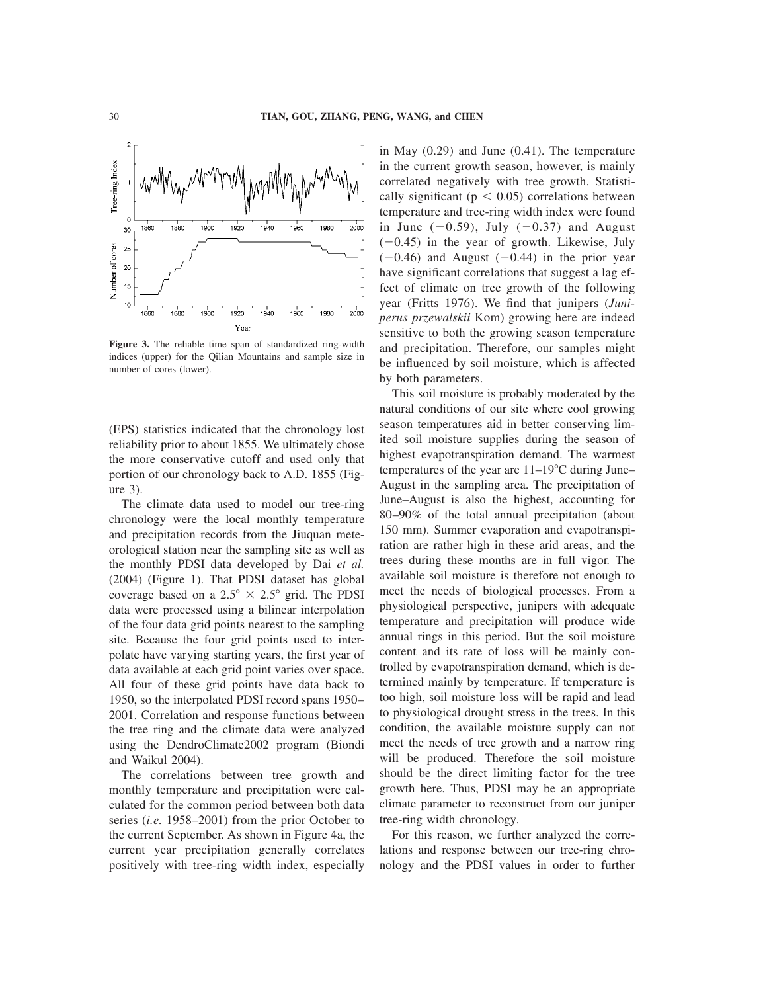

**Figure 3.** The reliable time span of standardized ring-width indices (upper) for the Qilian Mountains and sample size in number of cores (lower).

(EPS) statistics indicated that the chronology lost reliability prior to about 1855. We ultimately chose the more conservative cutoff and used only that portion of our chronology back to A.D. 1855 (Figure 3).

The climate data used to model our tree-ring chronology were the local monthly temperature and precipitation records from the Jiuquan meteorological station near the sampling site as well as the monthly PDSI data developed by Dai *et al.* (2004) (Figure 1). That PDSI dataset has global coverage based on a  $2.5^{\circ} \times 2.5^{\circ}$  grid. The PDSI data were processed using a bilinear interpolation of the four data grid points nearest to the sampling site. Because the four grid points used to interpolate have varying starting years, the first year of data available at each grid point varies over space. All four of these grid points have data back to 1950, so the interpolated PDSI record spans 1950– 2001. Correlation and response functions between the tree ring and the climate data were analyzed using the DendroClimate2002 program (Biondi and Waikul 2004).

The correlations between tree growth and monthly temperature and precipitation were calculated for the common period between both data series (*i.e.* 1958–2001) from the prior October to the current September. As shown in Figure 4a, the current year precipitation generally correlates positively with tree-ring width index, especially

in May (0.29) and June (0.41). The temperature in the current growth season, however, is mainly correlated negatively with tree growth. Statistically significant ( $p < 0.05$ ) correlations between temperature and tree-ring width index were found in June  $(-0.59)$ , July  $(-0.37)$  and August  $(-0.45)$  in the year of growth. Likewise, July  $(-0.46)$  and August  $(-0.44)$  in the prior year have significant correlations that suggest a lag effect of climate on tree growth of the following year (Fritts 1976). We find that junipers (*Juniperus przewalskii* Kom) growing here are indeed sensitive to both the growing season temperature and precipitation. Therefore, our samples might be influenced by soil moisture, which is affected by both parameters.

This soil moisture is probably moderated by the natural conditions of our site where cool growing season temperatures aid in better conserving limited soil moisture supplies during the season of highest evapotranspiration demand. The warmest temperatures of the year are  $11-19^{\circ}$ C during June– August in the sampling area. The precipitation of June–August is also the highest, accounting for 80–90% of the total annual precipitation (about 150 mm). Summer evaporation and evapotranspiration are rather high in these arid areas, and the trees during these months are in full vigor. The available soil moisture is therefore not enough to meet the needs of biological processes. From a physiological perspective, junipers with adequate temperature and precipitation will produce wide annual rings in this period. But the soil moisture content and its rate of loss will be mainly controlled by evapotranspiration demand, which is determined mainly by temperature. If temperature is too high, soil moisture loss will be rapid and lead to physiological drought stress in the trees. In this condition, the available moisture supply can not meet the needs of tree growth and a narrow ring will be produced. Therefore the soil moisture should be the direct limiting factor for the tree growth here. Thus, PDSI may be an appropriate climate parameter to reconstruct from our juniper tree-ring width chronology.

For this reason, we further analyzed the correlations and response between our tree-ring chronology and the PDSI values in order to further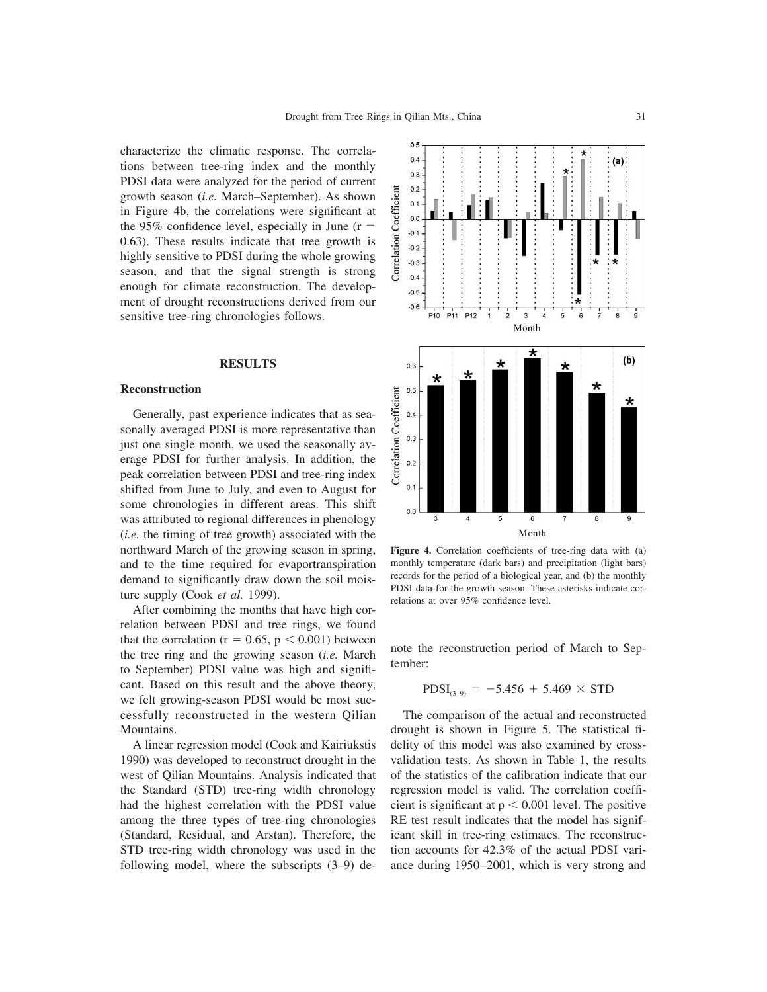characterize the climatic response. The correlations between tree-ring index and the monthly PDSI data were analyzed for the period of current growth season (*i.e.* March–September). As shown in Figure 4b, the correlations were significant at the 95% confidence level, especially in June  $(r =$ 0.63). These results indicate that tree growth is highly sensitive to PDSI during the whole growing season, and that the signal strength is strong enough for climate reconstruction. The development of drought reconstructions derived from our sensitive tree-ring chronologies follows.

## **RESULTS**

#### **Reconstruction**

Generally, past experience indicates that as seasonally averaged PDSI is more representative than just one single month, we used the seasonally average PDSI for further analysis. In addition, the peak correlation between PDSI and tree-ring index shifted from June to July, and even to August for some chronologies in different areas. This shift was attributed to regional differences in phenology (*i.e.* the timing of tree growth) associated with the northward March of the growing season in spring, and to the time required for evaportranspiration demand to significantly draw down the soil moisture supply (Cook *et al.* 1999).

After combining the months that have high correlation between PDSI and tree rings, we found that the correlation ( $r = 0.65$ ,  $p < 0.001$ ) between the tree ring and the growing season (*i.e.* March to September) PDSI value was high and significant. Based on this result and the above theory, we felt growing-season PDSI would be most successfully reconstructed in the western Qilian Mountains.

A linear regression model (Cook and Kairiukstis 1990) was developed to reconstruct drought in the west of Qilian Mountains. Analysis indicated that the Standard (STD) tree-ring width chronology had the highest correlation with the PDSI value among the three types of tree-ring chronologies (Standard, Residual, and Arstan). Therefore, the STD tree-ring width chronology was used in the following model, where the subscripts (3–9) de-



**Figure 4.** Correlation coefficients of tree-ring data with (a) monthly temperature (dark bars) and precipitation (light bars) records for the period of a biological year, and (b) the monthly PDSI data for the growth season. These asterisks indicate correlations at over 95% confidence level.

note the reconstruction period of March to September:

$$
PDSI_{(3-9)} = -5.456 + 5.469 \times STD
$$

The comparison of the actual and reconstructed drought is shown in Figure 5. The statistical fidelity of this model was also examined by crossvalidation tests. As shown in Table 1, the results of the statistics of the calibration indicate that our regression model is valid. The correlation coefficient is significant at  $p < 0.001$  level. The positive RE test result indicates that the model has significant skill in tree-ring estimates. The reconstruction accounts for 42.3% of the actual PDSI variance during 1950–2001, which is very strong and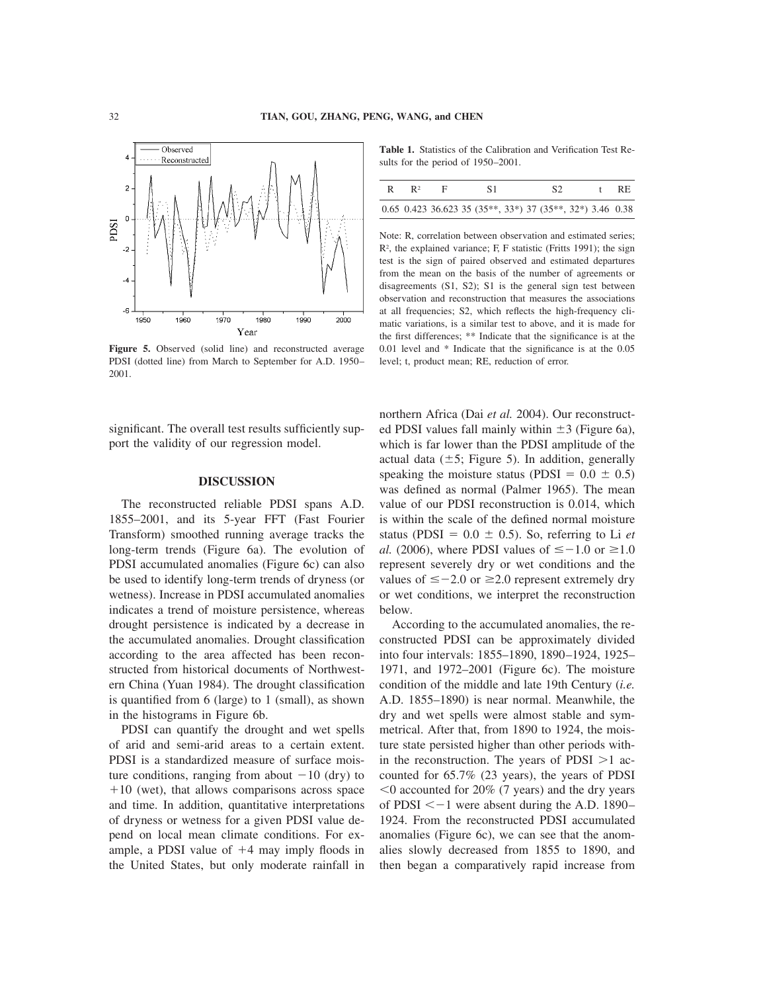

**Figure 5.** Observed (solid line) and reconstructed average PDSI (dotted line) from March to September for A.D. 1950– 2001.

significant. The overall test results sufficiently support the validity of our regression model.

#### **DISCUSSION**

The reconstructed reliable PDSI spans A.D. 1855–2001, and its 5-year FFT (Fast Fourier Transform) smoothed running average tracks the long-term trends (Figure 6a). The evolution of PDSI accumulated anomalies (Figure 6c) can also be used to identify long-term trends of dryness (or wetness). Increase in PDSI accumulated anomalies indicates a trend of moisture persistence, whereas drought persistence is indicated by a decrease in the accumulated anomalies. Drought classification according to the area affected has been reconstructed from historical documents of Northwestern China (Yuan 1984). The drought classification is quantified from 6 (large) to 1 (small), as shown in the histograms in Figure 6b.

PDSI can quantify the drought and wet spells of arid and semi-arid areas to a certain extent. PDSI is a standardized measure of surface moisture conditions, ranging from about  $-10$  (dry) to  $+10$  (wet), that allows comparisons across space and time. In addition, quantitative interpretations of dryness or wetness for a given PDSI value depend on local mean climate conditions. For example, a PDSI value of  $+4$  may imply floods in the United States, but only moderate rainfall in

**Table 1.** Statistics of the Calibration and Verification Test Results for the period of 1950–2001.

| R | $\mathbb{R}^2$ | S1.                                                                         | S <sub>2</sub> | $+$ $+$ | -RE |
|---|----------------|-----------------------------------------------------------------------------|----------------|---------|-----|
|   |                | $0.65$ $0.423$ $36.623$ $35$ $(35**, 33*)$ $37$ $(35**, 32*)$ $3.46$ $0.38$ |                |         |     |

Note: R, correlation between observation and estimated series; R2 , the explained variance; F, F statistic (Fritts 1991); the sign test is the sign of paired observed and estimated departures from the mean on the basis of the number of agreements or disagreements (S1, S2); S1 is the general sign test between observation and reconstruction that measures the associations at all frequencies; S2, which reflects the high-frequency climatic variations, is a similar test to above, and it is made for the first differences; \*\* Indicate that the significance is at the 0.01 level and \* Indicate that the significance is at the 0.05 level; t, product mean; RE, reduction of error.

northern Africa (Dai *et al.* 2004). Our reconstructed PDSI values fall mainly within  $\pm$ 3 (Figure 6a), which is far lower than the PDSI amplitude of the actual data  $(\pm 5;$  Figure 5). In addition, generally speaking the moisture status (PDSI =  $0.0 \pm 0.5$ ) was defined as normal (Palmer 1965). The mean value of our PDSI reconstruction is 0.014, which is within the scale of the defined normal moisture status (PDSI =  $0.0 \pm 0.5$ ). So, referring to Li *et al.* (2006), where PDSI values of  $\leq -1.0$  or  $\geq 1.0$ represent severely dry or wet conditions and the values of  $\leq$  -2.0 or  $\geq$ 2.0 represent extremely dry or wet conditions, we interpret the reconstruction below.

According to the accumulated anomalies, the reconstructed PDSI can be approximately divided into four intervals: 1855–1890, 1890–1924, 1925– 1971, and 1972–2001 (Figure 6c). The moisture condition of the middle and late 19th Century (*i.e.* A.D. 1855–1890) is near normal. Meanwhile, the dry and wet spells were almost stable and symmetrical. After that, from 1890 to 1924, the moisture state persisted higher than other periods within the reconstruction. The years of  $PDSI > 1$  accounted for 65.7% (23 years), the years of PDSI  $0$  accounted for 20% (7 years) and the dry years of PDSI  $\leq -1$  were absent during the A.D. 1890– 1924. From the reconstructed PDSI accumulated anomalies (Figure 6c), we can see that the anomalies slowly decreased from 1855 to 1890, and then began a comparatively rapid increase from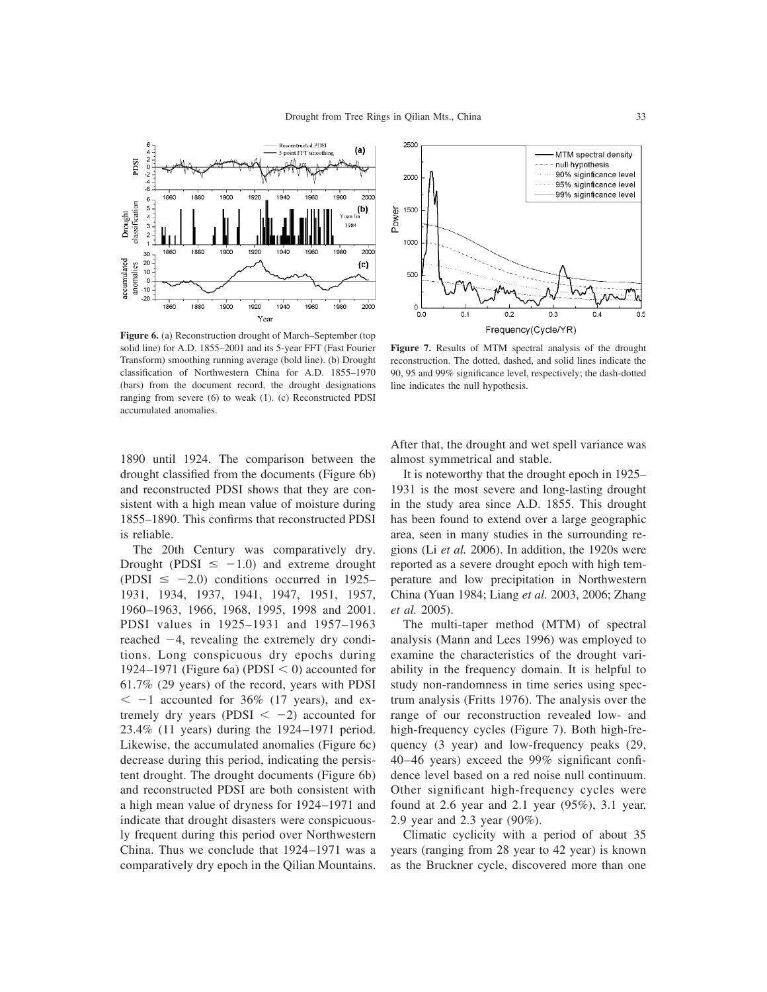

**Figure 6.** (a) Reconstruction drought of March–September (top solid line) for A.D. 1855–2001 and its 5-year FFT (Fast Fourier Transform) smoothing running average (bold line). (b) Drought classification of Northwestern China for A.D. 1855–1970 (bars) from the document record, the drought designations ranging from severe (6) to weak (1). (c) Reconstructed PDSI accumulated anomalies.

1890 until 1924. The comparison between the drought classified from the documents (Figure 6b) and reconstructed PDSI shows that they are consistent with a high mean value of moisture during 1855–1890. This confirms that reconstructed PDSI is reliable.

The 20th Century was comparatively dry. Drought (PDSI  $\leq -1.0$ ) and extreme drought  $($ PDSI  $\le$  -2.0) conditions occurred in 1925– 1931, 1934, 1937, 1941, 1947, 1951, 1957, 1960–1963, 1966, 1968, 1995, 1998 and 2001. PDSI values in 1925–1931 and 1957–1963 reached  $-4$ , revealing the extremely dry conditions. Long conspicuous dry epochs during 1924–1971 (Figure 6a) (PDSI  $\leq$  0) accounted for 61.7% (29 years) of the record, years with PDSI  $\epsilon$  -1 accounted for 36% (17 years), and extremely dry years (PDSI  $\lt -2$ ) accounted for 23.4% (11 years) during the 1924–1971 period. Likewise, the accumulated anomalies (Figure 6c) decrease during this period, indicating the persistent drought. The drought documents (Figure 6b) and reconstructed PDSI are both consistent with a high mean value of dryness for 1924–1971 and indicate that drought disasters were conspicuously frequent during this period over Northwestern China. Thus we conclude that 1924–1971 was a comparatively dry epoch in the Qilian Mountains.



**Figure 7.** Results of MTM spectral analysis of the drought reconstruction. The dotted, dashed, and solid lines indicate the 90, 95 and 99% significance level, respectively; the dash-dotted line indicates the null hypothesis.

After that, the drought and wet spell variance was almost symmetrical and stable.

It is noteworthy that the drought epoch in 1925– 1931 is the most severe and long-lasting drought in the study area since A.D. 1855. This drought has been found to extend over a large geographic area, seen in many studies in the surrounding regions (Li *et al.* 2006). In addition, the 1920s were reported as a severe drought epoch with high temperature and low precipitation in Northwestern China (Yuan 1984; Liang *et al.* 2003, 2006; Zhang *et al.* 2005).

The multi-taper method (MTM) of spectral analysis (Mann and Lees 1996) was employed to examine the characteristics of the drought variability in the frequency domain. It is helpful to study non-randomness in time series using spectrum analysis (Fritts 1976). The analysis over the range of our reconstruction revealed low- and high-frequency cycles (Figure 7). Both high-frequency (3 year) and low-frequency peaks (29, 40–46 years) exceed the 99% significant confidence level based on a red noise null continuum. Other significant high-frequency cycles were found at 2.6 year and 2.1 year (95%), 3.1 year, 2.9 year and 2.3 year (90%).

Climatic cyclicity with a period of about 35 years (ranging from 28 year to 42 year) is known as the Bruckner cycle, discovered more than one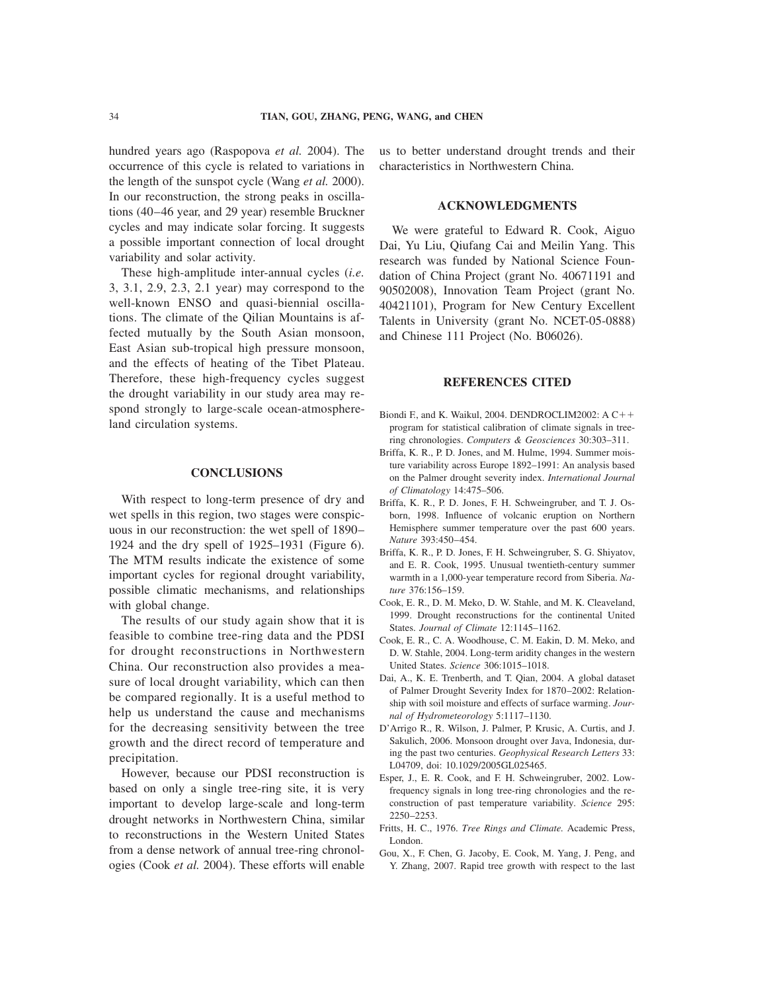hundred years ago (Raspopova *et al.* 2004). The occurrence of this cycle is related to variations in the length of the sunspot cycle (Wang *et al.* 2000). In our reconstruction, the strong peaks in oscillations (40–46 year, and 29 year) resemble Bruckner cycles and may indicate solar forcing. It suggests a possible important connection of local drought variability and solar activity.

These high-amplitude inter-annual cycles (*i.e.* 3, 3.1, 2.9, 2.3, 2.1 year) may correspond to the well-known ENSO and quasi-biennial oscillations. The climate of the Qilian Mountains is affected mutually by the South Asian monsoon, East Asian sub-tropical high pressure monsoon, and the effects of heating of the Tibet Plateau. Therefore, these high-frequency cycles suggest the drought variability in our study area may respond strongly to large-scale ocean-atmosphereland circulation systems.

## **CONCLUSIONS**

With respect to long-term presence of dry and wet spells in this region, two stages were conspicuous in our reconstruction: the wet spell of 1890– 1924 and the dry spell of 1925–1931 (Figure 6). The MTM results indicate the existence of some important cycles for regional drought variability, possible climatic mechanisms, and relationships with global change.

The results of our study again show that it is feasible to combine tree-ring data and the PDSI for drought reconstructions in Northwestern China. Our reconstruction also provides a measure of local drought variability, which can then be compared regionally. It is a useful method to help us understand the cause and mechanisms for the decreasing sensitivity between the tree growth and the direct record of temperature and precipitation.

However, because our PDSI reconstruction is based on only a single tree-ring site, it is very important to develop large-scale and long-term drought networks in Northwestern China, similar to reconstructions in the Western United States from a dense network of annual tree-ring chronologies (Cook *et al.* 2004). These efforts will enable

us to better understand drought trends and their characteristics in Northwestern China.

# **ACKNOWLEDGMENTS**

We were grateful to Edward R. Cook, Aiguo Dai, Yu Liu, Qiufang Cai and Meilin Yang. This research was funded by National Science Foundation of China Project (grant No. 40671191 and 90502008), Innovation Team Project (grant No. 40421101), Program for New Century Excellent Talents in University (grant No. NCET-05-0888) and Chinese 111 Project (No. B06026).

## **REFERENCES CITED**

- Biondi F., and K. Waikul, 2004. DENDROCLIM2002: A  $C++$ program for statistical calibration of climate signals in treering chronologies. *Computers & Geosciences* 30:303–311.
- Briffa, K. R., P. D. Jones, and M. Hulme, 1994. Summer moisture variability across Europe 1892–1991: An analysis based on the Palmer drought severity index. *International Journal of Climatology* 14:475–506.
- Briffa, K. R., P. D. Jones, F. H. Schweingruber, and T. J. Osborn, 1998. Influence of volcanic eruption on Northern Hemisphere summer temperature over the past 600 years. *Nature* 393:450–454.
- Briffa, K. R., P. D. Jones, F. H. Schweingruber, S. G. Shiyatov, and E. R. Cook, 1995. Unusual twentieth-century summer warmth in a 1,000-year temperature record from Siberia. *Nature* 376:156–159.
- Cook, E. R., D. M. Meko, D. W. Stahle, and M. K. Cleaveland, 1999. Drought reconstructions for the continental United States. *Journal of Climate* 12:1145–1162.
- Cook, E. R., C. A. Woodhouse, C. M. Eakin, D. M. Meko, and D. W. Stahle, 2004. Long-term aridity changes in the western United States. *Science* 306:1015–1018.
- Dai, A., K. E. Trenberth, and T. Qian, 2004. A global dataset of Palmer Drought Severity Index for 1870–2002: Relationship with soil moisture and effects of surface warming. *Journal of Hydrometeorology* 5:1117–1130.
- D'Arrigo R., R. Wilson, J. Palmer, P. Krusic, A. Curtis, and J. Sakulich, 2006. Monsoon drought over Java, Indonesia, during the past two centuries. *Geophysical Research Letters* 33: L04709, doi: 10.1029/2005GL025465.
- Esper, J., E. R. Cook, and F. H. Schweingruber, 2002. Lowfrequency signals in long tree-ring chronologies and the reconstruction of past temperature variability. *Science* 295: 2250–2253.
- Fritts, H. C., 1976. *Tree Rings and Climate.* Academic Press, London.
- Gou, X., F. Chen, G. Jacoby, E. Cook, M. Yang, J. Peng, and Y. Zhang, 2007. Rapid tree growth with respect to the last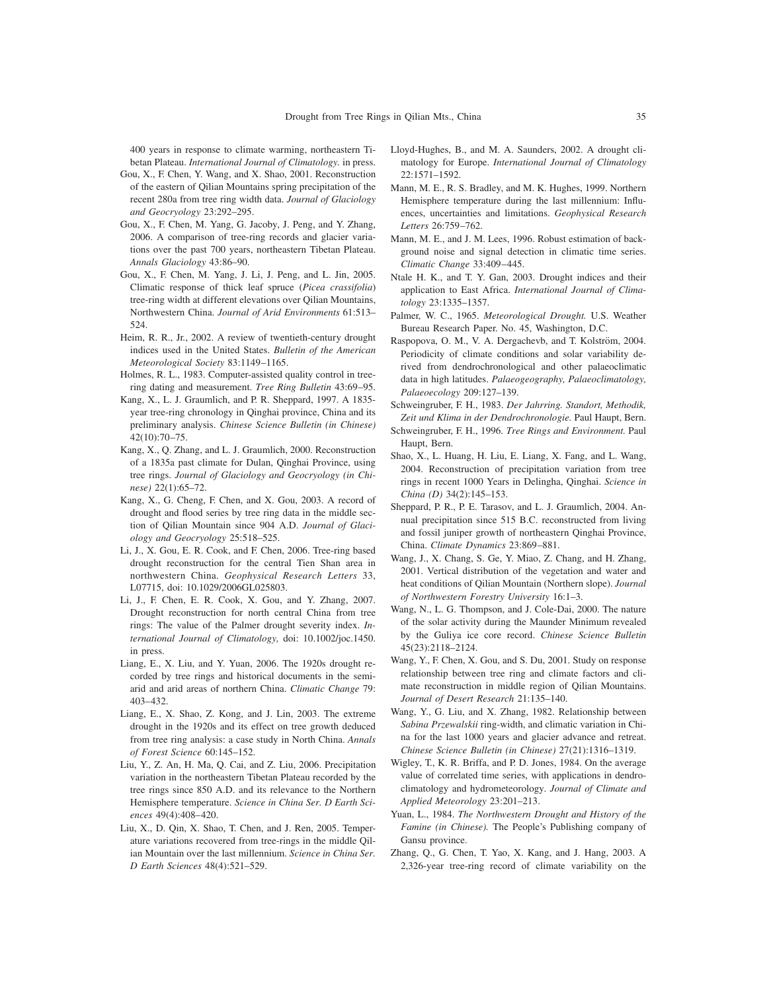400 years in response to climate warming, northeastern Tibetan Plateau. *International Journal of Climatology.* in press.

- Gou, X., F. Chen, Y. Wang, and X. Shao, 2001. Reconstruction of the eastern of Qilian Mountains spring precipitation of the recent 280a from tree ring width data. *Journal of Glaciology and Geocryology* 23:292–295.
- Gou, X., F. Chen, M. Yang, G. Jacoby, J. Peng, and Y. Zhang, 2006. A comparison of tree-ring records and glacier variations over the past 700 years, northeastern Tibetan Plateau. *Annals Glaciology* 43:86–90.
- Gou, X., F. Chen, M. Yang, J. Li, J. Peng, and L. Jin, 2005. Climatic response of thick leaf spruce (*Picea crassifolia*) tree-ring width at different elevations over Qilian Mountains, Northwestern China. *Journal of Arid Environments* 61:513– 524.
- Heim, R. R., Jr., 2002. A review of twentieth-century drought indices used in the United States. *Bulletin of the American Meteorological Society* 83:1149–1165.
- Holmes, R. L., 1983. Computer-assisted quality control in treering dating and measurement. *Tree Ring Bulletin* 43:69–95.
- Kang, X., L. J. Graumlich, and P. R. Sheppard, 1997. A 1835 year tree-ring chronology in Qinghai province, China and its preliminary analysis. *Chinese Science Bulletin (in Chinese)* 42(10):70–75.
- Kang, X., Q. Zhang, and L. J. Graumlich, 2000. Reconstruction of a 1835a past climate for Dulan, Qinghai Province, using tree rings. *Journal of Glaciology and Geocryology (in Chinese)* 22(1):65–72.
- Kang, X., G. Cheng, F. Chen, and X. Gou, 2003. A record of drought and flood series by tree ring data in the middle section of Qilian Mountain since 904 A.D. *Journal of Glaciology and Geocryology* 25:518–525.
- Li, J., X. Gou, E. R. Cook, and F. Chen, 2006. Tree-ring based drought reconstruction for the central Tien Shan area in northwestern China. *Geophysical Research Letters* 33, L07715, doi: 10.1029/2006GL025803.
- Li, J., F. Chen, E. R. Cook, X. Gou, and Y. Zhang, 2007. Drought reconstruction for north central China from tree rings: The value of the Palmer drought severity index. *International Journal of Climatology,* doi: 10.1002/joc.1450. in press.
- Liang, E., X. Liu, and Y. Yuan, 2006. The 1920s drought recorded by tree rings and historical documents in the semiarid and arid areas of northern China. *Climatic Change* 79: 403–432.
- Liang, E., X. Shao, Z. Kong, and J. Lin, 2003. The extreme drought in the 1920s and its effect on tree growth deduced from tree ring analysis: a case study in North China. *Annals of Forest Science* 60:145–152.
- Liu, Y., Z. An, H. Ma, Q. Cai, and Z. Liu, 2006. Precipitation variation in the northeastern Tibetan Plateau recorded by the tree rings since 850 A.D. and its relevance to the Northern Hemisphere temperature. *Science in China Ser. D Earth Sciences* 49(4):408–420.
- Liu, X., D. Qin, X. Shao, T. Chen, and J. Ren, 2005. Temperature variations recovered from tree-rings in the middle Qilian Mountain over the last millennium. *Science in China Ser. D Earth Sciences* 48(4):521–529.
- Lloyd-Hughes, B., and M. A. Saunders, 2002. A drought climatology for Europe. *International Journal of Climatology* 22:1571–1592.
- Mann, M. E., R. S. Bradley, and M. K. Hughes, 1999. Northern Hemisphere temperature during the last millennium: Influences, uncertainties and limitations. *Geophysical Research Letters* 26:759–762.
- Mann, M. E., and J. M. Lees, 1996. Robust estimation of background noise and signal detection in climatic time series. *Climatic Change* 33:409–445.
- Ntale H. K., and T. Y. Gan, 2003. Drought indices and their application to East Africa. *International Journal of Climatology* 23:1335–1357.
- Palmer, W. C., 1965. *Meteorological Drought.* U.S. Weather Bureau Research Paper. No. 45, Washington, D.C.
- Raspopova, O. M., V. A. Dergachevb, and T. Kolström, 2004. Periodicity of climate conditions and solar variability derived from dendrochronological and other palaeoclimatic data in high latitudes. *Palaeogeography, Palaeoclimatology, Palaeoecology* 209:127–139.
- Schweingruber, F. H., 1983. *Der Jahrring. Standort, Methodik, Zeit und Klima in der Dendrochronologie.* Paul Haupt, Bern.
- Schweingruber, F. H., 1996. *Tree Rings and Environment.* Paul Haupt, Bern.
- Shao, X., L. Huang, H. Liu, E. Liang, X. Fang, and L. Wang, 2004. Reconstruction of precipitation variation from tree rings in recent 1000 Years in Delingha, Qinghai. *Science in China (D)* 34(2):145–153.
- Sheppard, P. R., P. E. Tarasov, and L. J. Graumlich, 2004. Annual precipitation since 515 B.C. reconstructed from living and fossil juniper growth of northeastern Qinghai Province, China. *Climate Dynamics* 23:869–881.
- Wang, J., X. Chang, S. Ge, Y. Miao, Z. Chang, and H. Zhang, 2001. Vertical distribution of the vegetation and water and heat conditions of Qilian Mountain (Northern slope). *Journal of Northwestern Forestry University* 16:1–3.
- Wang, N., L. G. Thompson, and J. Cole-Dai, 2000. The nature of the solar activity during the Maunder Minimum revealed by the Guliya ice core record. *Chinese Science Bulletin* 45(23):2118–2124.
- Wang, Y., F. Chen, X. Gou, and S. Du, 2001. Study on response relationship between tree ring and climate factors and climate reconstruction in middle region of Qilian Mountains. *Journal of Desert Research* 21:135–140.
- Wang, Y., G. Liu, and X. Zhang, 1982. Relationship between *Sabina Przewalskii* ring-width, and climatic variation in China for the last 1000 years and glacier advance and retreat. *Chinese Science Bulletin (in Chinese)* 27(21):1316–1319.
- Wigley, T., K. R. Briffa, and P. D. Jones, 1984. On the average value of correlated time series, with applications in dendroclimatology and hydrometeorology. *Journal of Climate and Applied Meteorology* 23:201–213.
- Yuan, L., 1984. *The Northwestern Drought and History of the Famine (in Chinese).* The People's Publishing company of Gansu province.
- Zhang, Q., G. Chen, T. Yao, X. Kang, and J. Hang, 2003. A 2,326-year tree-ring record of climate variability on the